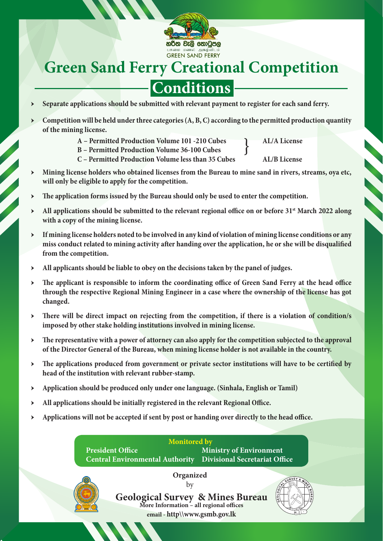

## **Green Sand Ferry Creational Competition**

## **Conditions**

- Separate applications should be submitted with relevant payment to register for each sand ferry.
- Competition will be held under three categories (A, B, C) according to the permitted production quantity **of the mining license.** 
	- } A – Permitted Production Volume 101 -210 Cubes **AL/A License**
	- **B Permitted Production Volume 36-100 Cubes**

- **C Permitted Production Volume less than 35 Cubes AL/B License**
- ӹ **Mining license holders who obtained licenses from the Bureau to mine sand in rivers, streams, oya etc, will only be eligible to apply for the competition.**
- ӹ **The application forms issued by the Bureau should only be used to enter the competition.**
- All applications should be submitted to the relevant regional office on or before 31<sup>st</sup> March 2022 along **with a copy of the mining license.**
- ӹ **If mining license holders noted to be involved in any kind of violation of mining license conditions or any miss conduct related to mining activity after handing over the application, he or she will be disqualified from the competition.**
- ӹ **All applicants should be liable to obey on the decisions taken by the panel of judges.**
- ӹ **The applicant is responsible to inform the coordinating office of Green Sand Ferry at the head office through the respective Regional Mining Engineer in a case where the ownership of the license has got changed.**
- ӹ **There will be direct impact on rejecting from the competition, if there is a violation of condition/s imposed by other stake holding institutions involved in mining license.**
- ӹ **The representative with a power of attorney can also apply for the competition subjected to the approval of the Director General of the Bureau, when mining license holder is not available in the country.**
- ӹ **The applications produced from government or private sector institutions will have to be certified by head of the institution with relevant rubber-stamp.**
- ӹ **Application should be produced only under one language. (Sinhala, English or Tamil)**
- ӹ **All applications should be initially registered in the relevant Regional Office.**
- ӹ **Applications will not be accepted if sent by post or handing over directly to the head office.**